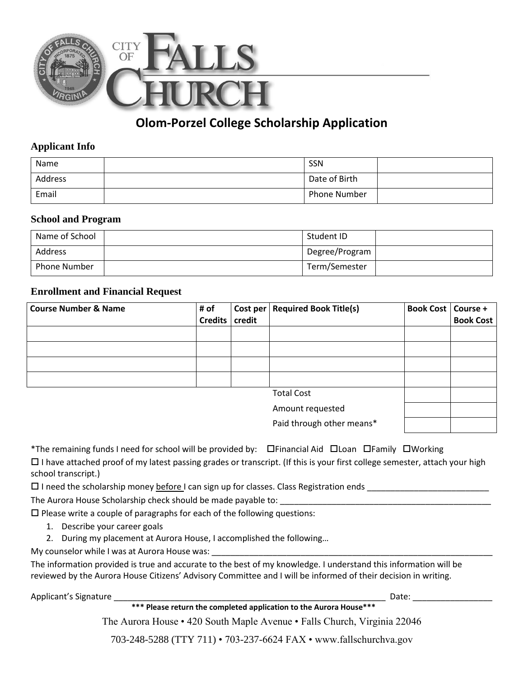

# **Olom-Porzel College Scholarship Application**

### **Applicant Info**

| Name    | SSN                 |
|---------|---------------------|
| Address | Date of Birth       |
| Email   | <b>Phone Number</b> |

#### **School and Program**

| Name of School      | Student ID     |  |
|---------------------|----------------|--|
| Address             | Degree/Program |  |
| <b>Phone Number</b> | Term/Semester  |  |

### **Enrollment and Financial Request**

| <b>Course Number &amp; Name</b> | # of    |        | Cost per   Required Book Title(s) | <b>Book Cost   Course +</b> |                  |
|---------------------------------|---------|--------|-----------------------------------|-----------------------------|------------------|
|                                 | Credits | credit |                                   |                             | <b>Book Cost</b> |
|                                 |         |        |                                   |                             |                  |
|                                 |         |        |                                   |                             |                  |
|                                 |         |        |                                   |                             |                  |
|                                 |         |        |                                   |                             |                  |
|                                 |         |        | <b>Total Cost</b>                 |                             |                  |
|                                 |         |        | Amount requested                  |                             |                  |
|                                 |         |        | Paid through other means*         |                             |                  |

\*The remaining funds I need for school will be provided by:  $\Box$  Financial Aid  $\Box$  Loan  $\Box$  Family  $\Box$  Working

 $\Box$  I have attached proof of my latest passing grades or transcript. (If this is your first college semester, attach your high school transcript.)

 $\Box$  I need the scholarship money before I can sign up for classes. Class Registration ends  $\Box$ 

The Aurora House Scholarship check should be made payable to:

 $\square$  Please write a couple of paragraphs for each of the following questions:

- 1. Describe your career goals
- 2. During my placement at Aurora House, I accomplished the following…

My counselor while I was at Aurora House was:

The information provided is true and accurate to the best of my knowledge. I understand this information will be reviewed by the Aurora House Citizens' Advisory Committee and I will be informed of their decision in writing.

Applicant's Signature \_\_\_\_\_\_\_\_\_\_\_\_\_\_\_\_\_\_\_\_\_\_\_\_\_\_\_\_\_\_\_\_\_\_\_\_\_\_\_\_\_\_\_\_\_\_\_\_\_\_\_\_\_\_\_\_\_\_ Date: \_\_\_\_\_\_\_\_\_\_\_\_\_\_\_\_\_

**\*\*\* Please return the completed application to the Aurora House\*\*\***

The Aurora House • 420 South Maple Avenue • Falls Church, Virginia 22046

703-248-5288 (TTY 711) • 703-237-6624 FAX • www.fallschurchva.gov